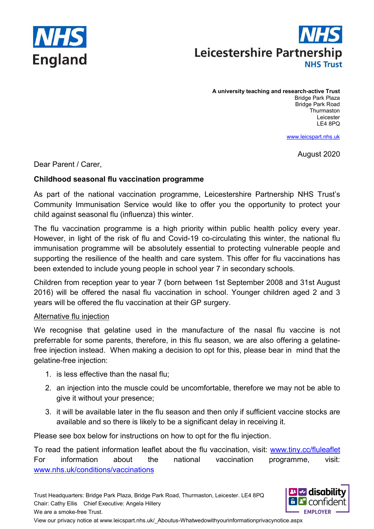



A university teaching and research-active Trust Bridge Park Plaza Bridge Park Road **Thurmaston** Leicester LE4 8PQ

www.leicspart.nhs.uk

August 2020

Dear Parent / Carer,

### Childhood seasonal flu vaccination programme

As part of the national vaccination programme, Leicestershire Partnership NHS Trust's Community Immunisation Service would like to offer you the opportunity to protect your child against seasonal flu (influenza) this winter.

The flu vaccination programme is a high priority within public health policy every year. However, in light of the risk of flu and Covid-19 co-circulating this winter, the national flu immunisation programme will be absolutely essential to protecting vulnerable people and supporting the resilience of the health and care system. This offer for flu vaccinations has been extended to include young people in school year 7 in secondary schools.

Children from reception year to year 7 (born between 1st September 2008 and 31st August 2016) will be offered the nasal flu vaccination in school. Younger children aged 2 and 3 years will be offered the flu vaccination at their GP surgery.

### Alternative flu injection

We recognise that gelatine used in the manufacture of the nasal flu vaccine is not preferrable for some parents, therefore, in this flu season, we are also offering a gelatinefree injection instead. When making a decision to opt for this, please bear in mind that the gelatine-free injection:

- 1. is less effective than the nasal flu;
- 2. an injection into the muscle could be uncomfortable, therefore we may not be able to give it without your presence;
- 3. it will be available later in the flu season and then only if sufficient vaccine stocks are available and so there is likely to be a significant delay in receiving it.

Please see box below for instructions on how to opt for the flu injection.

To read the patient information leaflet about the flu vaccination, visit: www.tiny.cc/fluleaflet For information about the national vaccination programme, visit: www.nhs.uk/conditions/vaccinations

Trust Headquarters: Bridge Park Plaza, Bridge Park Road, Thurmaston, Leicester. LE4 8PQ Chair: Cathy Ellis Chief Executive: Angela Hillery We are a smoke-free Trust.

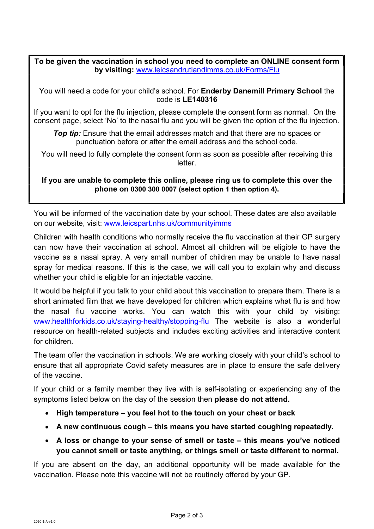## To be given the vaccination in school you need to complete an ONLINE consent form by visiting: www.leicsandrutlandimms.co.uk/Forms/Flu

You will need a code for your child's school. For Enderby Danemill Primary School the code is LE140316

If you want to opt for the flu injection, please complete the consent form as normal. On the consent page, select 'No' to the nasal flu and you will be given the option of the flu injection.

**Top tip:** Ensure that the email addresses match and that there are no spaces or punctuation before or after the email address and the school code.

You will need to fully complete the consent form as soon as possible after receiving this letter.

If you are unable to complete this online, please ring us to complete this over the phone on 0300 300 0007 (select option 1 then option 4).

You will be informed of the vaccination date by your school. These dates are also available on our website, visit: www.leicspart.nhs.uk/communityimms

Children with health conditions who normally receive the flu vaccination at their GP surgery can now have their vaccination at school. Almost all children will be eligible to have the vaccine as a nasal spray. A very small number of children may be unable to have nasal spray for medical reasons. If this is the case, we will call you to explain why and discuss whether your child is eligible for an injectable vaccine.

It would be helpful if you talk to your child about this vaccination to prepare them. There is a short animated film that we have developed for children which explains what flu is and how the nasal flu vaccine works. You can watch this with your child by visiting: www.healthforkids.co.uk/staying-healthy/stopping-flu The website is also a wonderful resource on health-related subjects and includes exciting activities and interactive content for children.

The team offer the vaccination in schools. We are working closely with your child's school to ensure that all appropriate Covid safety measures are in place to ensure the safe delivery of the vaccine.

If your child or a family member they live with is self-isolating or experiencing any of the symptoms listed below on the day of the session then please do not attend.

- High temperature you feel hot to the touch on your chest or back
- A new continuous cough this means you have started coughing repeatedly.
- A loss or change to your sense of smell or taste this means you've noticed you cannot smell or taste anything, or things smell or taste different to normal.

If you are absent on the day, an additional opportunity will be made available for the vaccination. Please note this vaccine will not be routinely offered by your GP.